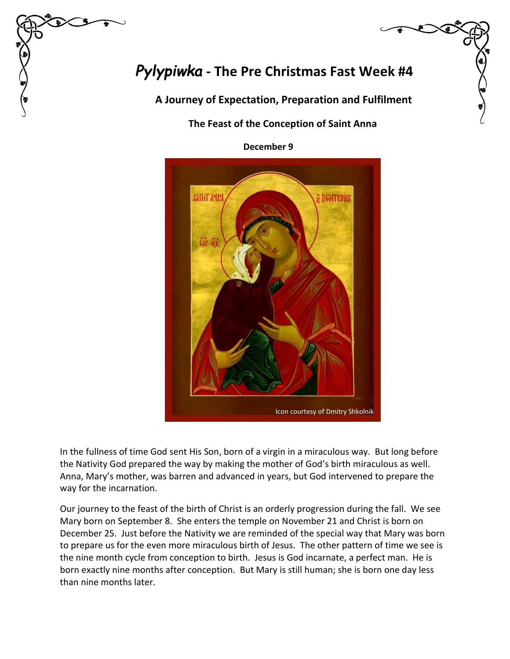# *Pylypiwka* **- The Pre Christmas Fast Week #4**

 **A Journey of Expectation, Preparation and Fulfilment**

## **The Feast of the Conception of Saint Anna**

 **December 9**



In the fullness of time God sent His Son, born of a virgin in a miraculous way. But long before the Nativity God prepared the way by making the mother of God's birth miraculous as well. Anna, Mary's mother, was barren and advanced in years, but God intervened to prepare the way for the incarnation.

Our journey to the feast of the birth of Christ is an orderly progression during the fall. We see Mary born on September 8. She enters the temple on November 21 and Christ is born on December 25. Just before the Nativity we are reminded of the special way that Mary was born to prepare us for the even more miraculous birth of Jesus. The other pattern of time we see is the nine month cycle from conception to birth. Jesus is God incarnate, a perfect man. He is born exactly nine months after conception. But Mary is still human; she is born one day less than nine months later.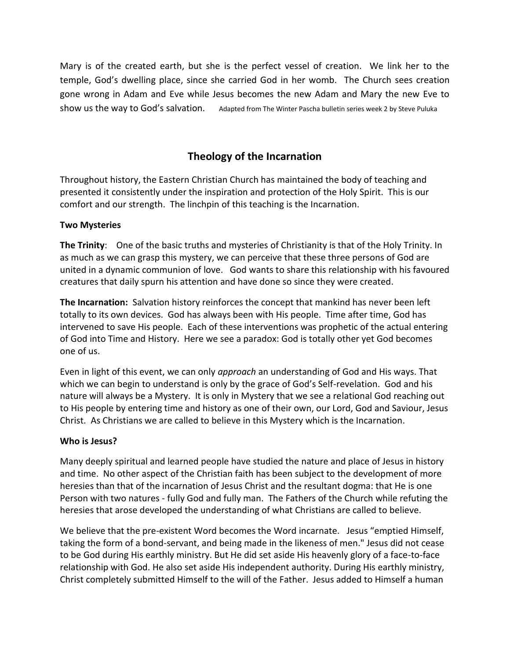Mary is of the created earth, but she is the perfect vessel of creation. We link her to the temple, God's dwelling place, since she carried God in her womb. The Church sees creation gone wrong in Adam and Eve while Jesus becomes the new Adam and Mary the new Eve to show us the way to God's salvation. Adapted from The Winter Pascha bulletin series week 2 by Steve Puluka

## **Theology of the Incarnation**

Throughout history, the Eastern Christian Church has maintained the body of teaching and presented it consistently under the inspiration and protection of the Holy Spirit. This is our comfort and our strength. The linchpin of this teaching is the Incarnation.

#### **Two Mysteries**

**The Trinity**: One of the basic truths and mysteries of Christianity is that of the Holy Trinity. In as much as we can grasp this mystery, we can perceive that these three persons of God are united in a dynamic communion of love. God wants to share this relationship with his favoured creatures that daily spurn his attention and have done so since they were created.

**The Incarnation:** Salvation history reinforces the concept that mankind has never been left totally to its own devices. God has always been with His people. Time after time, God has intervened to save His people. Each of these interventions was prophetic of the actual entering of God into Time and History. Here we see a paradox: God is totally other yet God becomes one of us.

Even in light of this event, we can only *approach* an understanding of God and His ways. That which we can begin to understand is only by the grace of God's Self-revelation. God and his nature will always be a Mystery. It is only in Mystery that we see a relational God reaching out to His people by entering time and history as one of their own, our Lord, God and Saviour, Jesus Christ. As Christians we are called to believe in this Mystery which is the Incarnation.

### **Who is Jesus?**

Many deeply spiritual and learned people have studied the nature and place of Jesus in history and time. No other aspect of the Christian faith has been subject to the development of more heresies than that of the incarnation of Jesus Christ and the resultant dogma: that He is one Person with two natures - fully God and fully man. The Fathers of the Church while refuting the heresies that arose developed the understanding of what Christians are called to believe.

We believe that the pre-existent Word becomes the Word incarnate. Jesus "emptied Himself, taking the form of a bond-servant, and being made in the likeness of men." Jesus did not cease to be God during His earthly ministry. But He did set aside His heavenly glory of a face-to-face relationship with God. He also set aside His independent authority. During His earthly ministry, Christ completely submitted Himself to the will of the Father. Jesus added to Himself a human